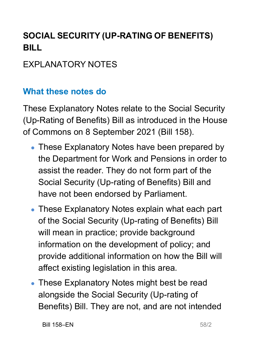# **SOCIAL SECURITY (UP-RATING OF BENEFITS) BILL**

### **FXPLANATORY NOTES**

#### **What these notes do**

- These Explanatory Notes have been prepared by the Department for Work and Pensions in order to assist the reader. They do not form part of the Social Security (Up-rating of Benefits) Bill and have not been endorsed by Parliament.
- These Explanatory Notes explain what each part of the Social Security (Up-rating of Benefits) Bill will mean in practice; provide background information on the development of policy; and provide additional information on how the Bill will affect existing legislation in this area.
- These Explanatory Notes might best be read alongside the Social Security (Up-rating of Benefits) Bill. They are not, and are not intended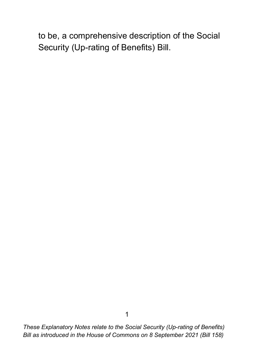to be, a comprehensive description of the Social Security (Up-rating of Benefits) Bill.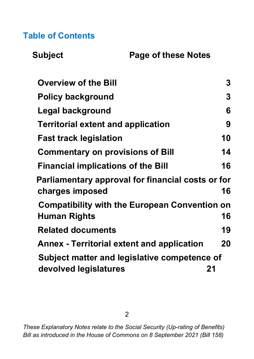#### **Table of Contents**

| <b>Subject</b> |
|----------------|
|----------------|

**Page of these Notes** 

<span id="page-2-0"></span>

| <b>Overview of the Bill</b>                                          | 3  |
|----------------------------------------------------------------------|----|
| <b>Policy background</b>                                             | 3  |
| Legal background                                                     | 6  |
| <b>Territorial extent and application</b>                            | 9  |
| <b>Fast track legislation</b>                                        | 10 |
| <b>Commentary on provisions of Bill</b>                              | 14 |
| <b>Financial implications of the Bill</b>                            | 16 |
| Parliamentary approval for financial costs or for<br>charges imposed | 16 |
| <b>Compatibility with the European Convention on</b>                 |    |
| Human Rights                                                         | 16 |
| <b>Related documents</b>                                             | 19 |
| <b>Annex - Territorial extent and application</b>                    | 20 |
| Subject matter and legislative competence of                         |    |
| devolved legislatures                                                | 21 |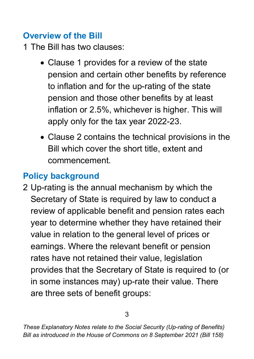### **Overview of the Bill**

1 The Bill has two clauses:

- Clause 1 provides for a review of the state pension and certain other benefits by reference to inflation and for the up-rating of the state pension and those other benefits by at least inflation or 2.5%, whichever is higher. This will apply only for the tax year 2022-23.
- Clause 2 contains the technical provisions in the Bill which cover the short title, extent and commencement.

## <span id="page-3-0"></span>**Policy background**

2 Up-rating is the annual mechanism by which the Secretary of State is required by law to conduct a review of applicable benefit and pension rates each year to determine whether they have retained their value in relation to the general level of prices or earnings. Where the relevant benefit or pension rates have not retained their value, legislation provides that the Secretary of State is required to (or in some instances may) up-rate their value. There are three sets of benefit groups: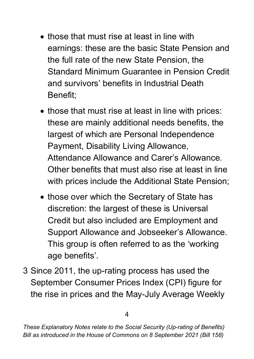- those that must rise at least in line with earnings: these are the basic State Pension and the full rate of the new State Pension, the Standard Minimum Guarantee in Pension Credit and survivors' benefits in Industrial Death Benefit;
- those that must rise at least in line with prices: these are mainly additional needs benefits, the largest of which are Personal Independence Payment, Disability Living Allowance, Attendance Allowance and Carer's Allowance. Other benefits that must also rise at least in line with prices include the Additional State Pension;
- those over which the Secretary of State has discretion: the largest of these is Universal Credit but also included are Employment and Support Allowance and Jobseeker's Allowance. This group is often referred to as the 'working age benefits'.
- 3 Since 2011, the up-rating process has used the September Consumer Prices Index (CPI) figure for the rise in prices and the May-July Average Weekly

*These Explanatory Notes relate to the Social Security (Up-rating of Benefits) Bill as introduced in the House of Commons on 8 September 2021 (Bill 158)*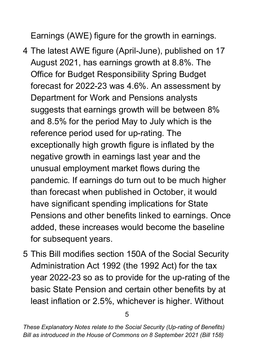Earnings (AWE) figure for the growth in earnings.

- 4 The latest AWE figure (April-June), published on 17 August 2021, has earnings growth at 8.8%. The Office for Budget Responsibility Spring Budget forecast for 2022-23 was 4.6%. An assessment by Department for Work and Pensions analysts suggests that earnings growth will be between 8% and 8.5% for the period May to July which is the reference period used for up-rating. The exceptionally high growth figure is inflated by the negative growth in earnings last year and the unusual employment market flows during the pandemic. If earnings do turn out to be much higher than forecast when published in October, it would have significant spending implications for State Pensions and other benefits linked to earnings. Once added, these increases would become the baseline for subsequent years.
- <span id="page-5-0"></span>5 This Bill modifies section 150A of the Social Security Administration Act 1992 (the 1992 Act) for the tax year 2022-23 so as to provide for the up-rating of the basic State Pension and certain other benefits by at least inflation or 2.5%, whichever is higher. Without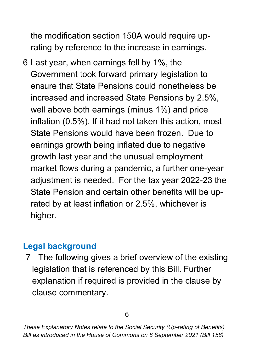the modification section 150A would require uprating by reference to the increase in earnings.

6 Last year, when earnings fell by 1%, the Government took forward primary legislation to ensure that State Pensions could nonetheless be increased and increased State Pensions by 2.5%, well above both earnings (minus 1%) and price inflation (0.5%). If it had not taken this action, most State Pensions would have been frozen. Due to earnings growth being inflated due to negative growth last year and the unusual employment market flows during a pandemic, a further one-year adjustment is needed. For the tax year 2022-23 the State Pension and certain other benefits will be uprated by at least inflation or 2.5%, whichever is higher.

### **Legal background**

7 The following gives a brief overview of the existing legislation that is referenced by this Bill. Further explanation if required is provided in the clause by clause commentary.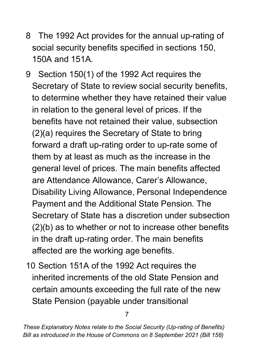- 8 The 1992 Act provides for the annual up-rating of social security benefits specified in sections 150, 150A and 151A.
- 9 Section 150(1) of the 1992 Act requires the Secretary of State to review social security benefits, to determine whether they have retained their value in relation to the general level of prices. If the benefits have not retained their value, subsection (2)(a) requires the Secretary of State to bring forward a draft up-rating order to up-rate some of them by at least as much as the increase in the general level of prices. The main benefits affected are Attendance Allowance, Carer's Allowance, Disability Living Allowance, Personal Independence Payment and the Additional State Pension. The Secretary of State has a discretion under subsection (2)(b) as to whether or not to increase other benefits in the draft up-rating order. The main benefits affected are the working age benefits.
- 10 Section 151A of the 1992 Act requires the inherited increments of the old State Pension and certain amounts exceeding the full rate of the new State Pension (payable under transitional

7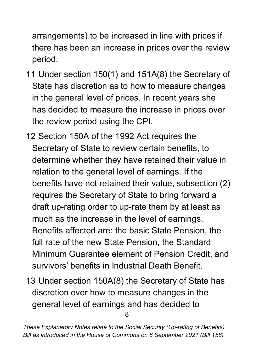arrangements) to be increased in line with prices if there has been an increase in prices over the review period.

- 11 Under section 150(1) and 151A(8) the Secretary of State has discretion as to how to measure changes in the general level of prices. In recent years she has decided to measure the increase in prices over the review period using the CPI.
- 12 Section 150A of the 1992 Act requires the Secretary of State to review certain benefits, to determine whether they have retained their value in relation to the general level of earnings. If the benefits have not retained their value, subsection (2) requires the Secretary of State to bring forward a draft up-rating order to up-rate them by at least as much as the increase in the level of earnings. Benefits affected are: the basic State Pension, the full rate of the new State Pension, the Standard Minimum Guarantee element of Pension Credit, and survivors' benefits in Industrial Death Benefit.
- 8 13 Under section 150A(8) the Secretary of State has discretion over how to measure changes in the general level of earnings and has decided to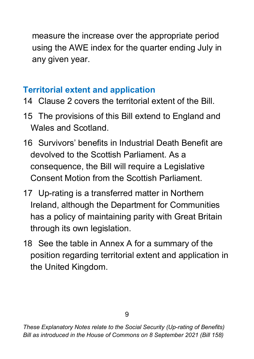measure the increase over the appropriate period using the AWE index for the quarter ending July in any given year.

## <span id="page-9-0"></span>**Territorial extent and application**

- 14 Clause 2 covers the territorial extent of the Bill.
- 15 The provisions of this Bill extend to England and Wales and Scotland.
- 16 Survivors' benefits in Industrial Death Benefit are devolved to the Scottish Parliament. As a consequence, the Bill will require a Legislative Consent Motion from the Scottish Parliament.
- 17 Up-rating is a transferred matter in Northern Ireland, although the Department for Communities has a policy of maintaining parity with Great Britain through its own legislation.
- 18 See the table in Annex A for a summary of the position regarding territorial extent and application in the United Kingdom.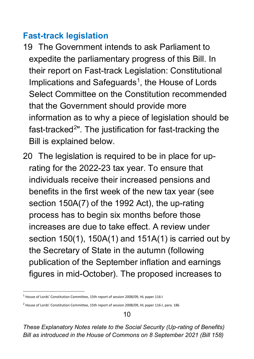#### **Fast-track legislation**

- 19 The Government intends to ask Parliament to expedite the parliamentary progress of this Bill. In their report on Fast-track Legislation: Constitutional Implications and Safeguards<sup>[1](#page-10-0)</sup>, the House of Lords Select Committee on the Constitution recommended that the Government should provide more information as to why a piece of legislation should be fast-tracked<sup>[2](#page-10-1)</sup>". The justification for fast-tracking the Bill is explained below.
- 20 The legislation is required to be in place for uprating for the 2022-23 tax year. To ensure that individuals receive their increased pensions and benefits in the first week of the new tax year (see section 150A(7) of the 1992 Act), the up-rating process has to begin six months before those increases are due to take effect. A review under section 150(1), 150A(1) and 151A(1) is carried out by the Secretary of State in the autumn (following publication of the September inflation and earnings figures in mid-October). The proposed increases to

<span id="page-10-0"></span><sup>1</sup> House of Lords' Constitution Committee, 15th report of session 2008/09, HL paper 116-I

<span id="page-10-1"></span><sup>2</sup> House of Lords' Constitution Committee, 15th report of session 2008/09, HL paper 116-I, para. 186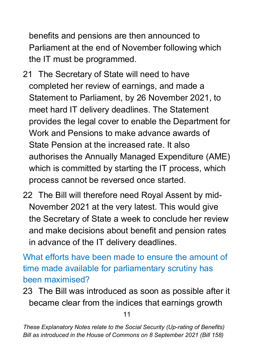benefits and pensions are then announced to Parliament at the end of November following which the IT must be programmed.

- 21 The Secretary of State will need to have completed her review of earnings, and made a Statement to Parliament, by 26 November 2021, to meet hard IT delivery deadlines. The Statement provides the legal cover to enable the Department for Work and Pensions to make advance awards of State Pension at the increased rate. It also authorises the Annually Managed Expenditure (AME) which is committed by starting the IT process, which process cannot be reversed once started.
- 22 The Bill will therefore need Royal Assent by mid-November 2021 at the very latest. This would give the Secretary of State a week to conclude her review and make decisions about benefit and pension rates in advance of the IT delivery deadlines.

What efforts have been made to ensure the amount of time made available for parliamentary scrutiny has been maximised?

23 The Bill was introduced as soon as possible after it became clear from the indices that earnings growth

11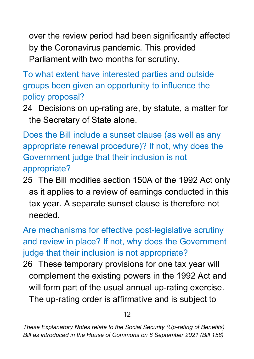over the review period had been significantly affected by the Coronavirus pandemic. This provided Parliament with two months for scrutiny.

To what extent have interested parties and outside groups been given an opportunity to influence the policy proposal?

24 Decisions on up-rating are, by statute, a matter for the Secretary of State alone.

Does the Bill include a sunset clause (as well as any appropriate renewal procedure)? If not, why does the Government judge that their inclusion is not appropriate?

25 The Bill modifies section 150A of the 1992 Act only as it applies to a review of earnings conducted in this tax year. A separate sunset clause is therefore not needed.

Are mechanisms for effective post-legislative scrutiny and review in place? If not, why does the Government judge that their inclusion is not appropriate?

26 These temporary provisions for one tax year will complement the existing powers in the 1992 Act and will form part of the usual annual up-rating exercise. The up-rating order is affirmative and is subject to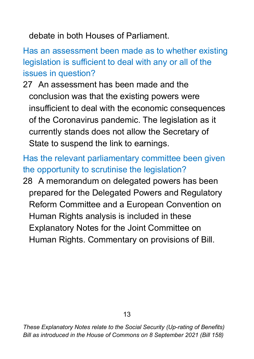debate in both Houses of Parliament.

Has an assessment been made as to whether existing legislation is sufficient to deal with any or all of the issues in question?

27 An assessment has been made and the conclusion was that the existing powers were insufficient to deal with the economic consequences of the Coronavirus pandemic. The legislation as it currently stands does not allow the Secretary of State to suspend the link to earnings.

Has the relevant parliamentary committee been given the opportunity to scrutinise the legislation?

<span id="page-13-0"></span>28 A memorandum on delegated powers has been prepared for the Delegated Powers and Regulatory Reform Committee and a European Convention on Human Rights analysis is included in these Explanatory Notes for the Joint Committee on Human Rights. Commentary on provisions of Bill.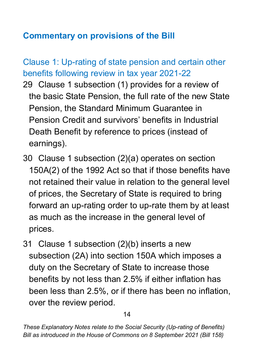### **Commentary on provisions of the Bill**

Clause 1: Up-rating of state pension and certain other benefits following review in tax year 2021-22

- 29 Clause 1 subsection (1) provides for a review of the basic State Pension, the full rate of the new State Pension, the Standard Minimum Guarantee in Pension Credit and survivors' benefits in Industrial Death Benefit by reference to prices (instead of earnings).
- 30 Clause 1 subsection (2)(a) operates on section 150A(2) of the 1992 Act so that if those benefits have not retained their value in relation to the general level of prices, the Secretary of State is required to bring forward an up-rating order to up-rate them by at least as much as the increase in the general level of prices.
- 31 Clause 1 subsection (2)(b) inserts a new subsection (2A) into section 150A which imposes a duty on the Secretary of State to increase those benefits by not less than 2.5% if either inflation has been less than 2.5%, or if there has been no inflation, over the review period.

14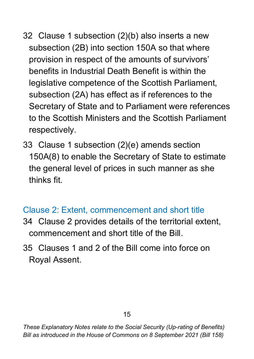- 32 Clause 1 subsection (2)(b) also inserts a new subsection (2B) into section 150A so that where provision in respect of the amounts of survivors' benefits in Industrial Death Benefit is within the legislative competence of the Scottish Parliament, subsection (2A) has effect as if references to the Secretary of State and to Parliament were references to the Scottish Ministers and the Scottish Parliament respectively.
- 33 Clause 1 subsection (2)(e) amends section 150A(8) to enable the Secretary of State to estimate the general level of prices in such manner as she thinks fit.

### Clause 2: Extent, commencement and short title

- 34 Clause 2 provides details of the territorial extent, commencement and short title of the Bill.
- 35 Clauses 1 and 2 of the Bill come into force on Royal Assent.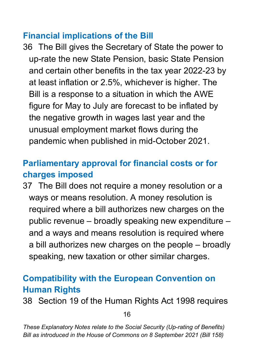#### <span id="page-16-0"></span>**Financial implications of the Bill**

36 The Bill gives the Secretary of State the power to up-rate the new State Pension, basic State Pension and certain other benefits in the tax year 2022-23 by at least inflation or 2.5%, whichever is higher. The Bill is a response to a situation in which the AWE figure for May to July are forecast to be inflated by the negative growth in wages last year and the unusual employment market flows during the pandemic when published in mid-October 2021.

## <span id="page-16-1"></span>**Parliamentary approval for financial costs or for charges imposed**

37 The Bill does not require a money resolution or a ways or means resolution. A money resolution is required where a bill authorizes new charges on the public revenue – broadly speaking new expenditure – and a ways and means resolution is required where a bill authorizes new charges on the people – broadly speaking, new taxation or other similar charges.

### <span id="page-16-2"></span>**Compatibility with the European Convention on Human Rights**

38 Section 19 of the Human Rights Act 1998 requires

16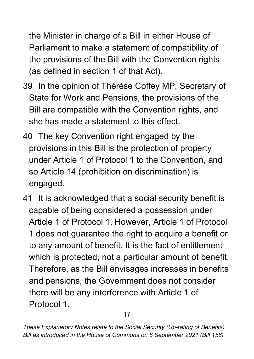the Minister in charge of a Bill in either House of Parliament to make a statement of compatibility of the provisions of the Bill with the Convention rights (as defined in section 1 of that Act).

- 39 In the opinion of Thérèse Coffey MP, Secretary of State for Work and Pensions, the provisions of the Bill are compatible with the Convention rights, and she has made a statement to this effect.
- 40 The key Convention right engaged by the provisions in this Bill is the protection of property under Article 1 of Protocol 1 to the Convention, and so Article 14 (prohibition on discrimination) is engaged.
- 41 It is acknowledged that a social security benefit is capable of being considered a possession under Article 1 of Protocol 1. However, Article 1 of Protocol 1 does not guarantee the right to acquire a benefit or to any amount of benefit. It is the fact of entitlement which is protected, not a particular amount of benefit. Therefore, as the Bill envisages increases in benefits and pensions, the Government does not consider there will be any interference with Article 1 of Protocol 1.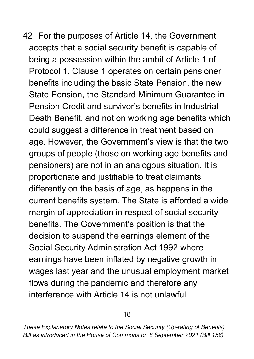42 For the purposes of Article 14, the Government accepts that a social security benefit is capable of being a possession within the ambit of Article 1 of Protocol 1. Clause 1 operates on certain pensioner benefits including the basic State Pension, the new State Pension, the Standard Minimum Guarantee in Pension Credit and survivor's benefits in Industrial Death Benefit, and not on working age benefits which could suggest a difference in treatment based on age. However, the Government's view is that the two groups of people (those on working age benefits and pensioners) are not in an analogous situation. It is proportionate and justifiable to treat claimants differently on the basis of age, as happens in the current benefits system. The State is afforded a wide margin of appreciation in respect of social security benefits. The Government's position is that the decision to suspend the earnings element of the Social Security Administration Act 1992 where earnings have been inflated by negative growth in wages last year and the unusual employment market flows during the pandemic and therefore any interference with Article 14 is not unlawful.

*These Explanatory Notes relate to the Social Security (Up-rating of Benefits) Bill as introduced in the House of Commons on 8 September 2021 (Bill 158)*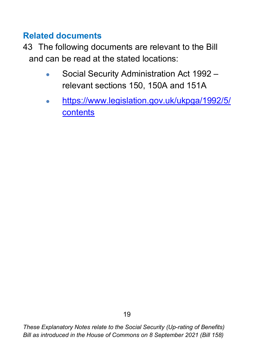### <span id="page-19-0"></span>**Related documents**

- 43 The following documents are relevant to the Bill and can be read at the stated locations:
	- Social Security Administration Act 1992 relevant sections 150, 150A and 151A
	- [https://www.legislation.gov.uk/ukpga/1992/5/](https://www.legislation.gov.uk/ukpga/1992/5/contents) [contents](https://www.legislation.gov.uk/ukpga/1992/5/contents)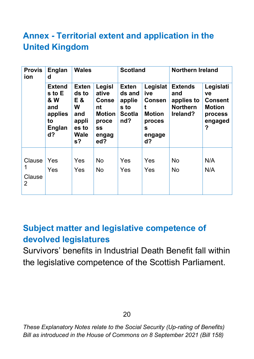## <span id="page-20-0"></span>**Annex - Territorial extent and application in the United Kingdom**

| <b>Provis</b><br>ion  | Englan<br>d                                                                              | <b>Wales</b>                                                                |                                                                                              | <b>Scotland</b>                                                  |                                                                                                  | <b>Northern Ireland</b>                                            |                                                                               |
|-----------------------|------------------------------------------------------------------------------------------|-----------------------------------------------------------------------------|----------------------------------------------------------------------------------------------|------------------------------------------------------------------|--------------------------------------------------------------------------------------------------|--------------------------------------------------------------------|-------------------------------------------------------------------------------|
|                       | <b>Extend</b><br>s to E<br><b>&amp; W</b><br>and<br>applies<br>to<br><b>Englan</b><br>d? | <b>Exten</b><br>ds to<br>E &<br>W<br>and<br>appli<br>es to<br>Wale<br>$s$ ? | Legisl<br>ative<br><b>Conse</b><br>nt<br><b>Motion</b><br>proce<br><b>SS</b><br>engag<br>ed? | <b>Exten</b><br>ds and<br>applie<br>s to<br><b>Scotla</b><br>nd? | Legislat<br>ive<br><b>Consen</b><br>t<br><b>Motion</b><br>proces<br>$\mathbf{s}$<br>engage<br>d? | <b>Extends</b><br>and<br>applies to<br><b>Northern</b><br>Ireland? | Legislati<br>ve<br><b>Consent</b><br><b>Motion</b><br>process<br>engaged<br>? |
| Clause<br>Clause<br>2 | Yes<br>Yes                                                                               | Yes<br>Yes                                                                  | <b>No</b><br><b>No</b>                                                                       | Yes<br>Yes                                                       | Yes<br>Yes                                                                                       | <b>No</b><br><b>No</b>                                             | N/A<br>N/A                                                                    |

#### <span id="page-20-1"></span>**Subject matter and legislative competence of devolved legislatures**

Survivors' benefits in Industrial Death Benefit fall within the legislative competence of the Scottish Parliament.